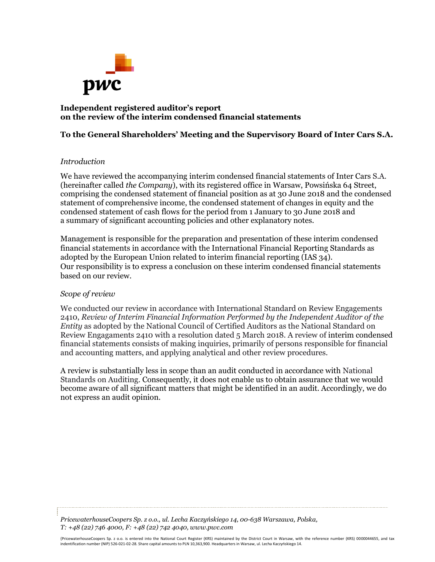

## **Independent registered auditor's report on the review of the interim condensed financial statements**

## **To the General Shareholders' Meeting and the Supervisory Board of Inter Cars S.A.**

### *Introduction*

We have reviewed the accompanying interim condensed financial statements of Inter Cars S.A. (hereinafter called *the Company*), with its registered office in Warsaw, Powsińska 64 Street, comprising the condensed statement of financial position as at 30 June 2018 and the condensed statement of comprehensive income, the condensed statement of changes in equity and the condensed statement of cash flows for the period from 1 January to 30 June 2018 and a summary of significant accounting policies and other explanatory notes.

Management is responsible for the preparation and presentation of these interim condensed financial statements in accordance with the International Financial Reporting Standards as adopted by the European Union related to interim financial reporting (IAS 34). Our responsibility is to express a conclusion on these interim condensed financial statements based on our review.

#### *Scope of review*

We conducted our review in accordance with International Standard on Review Engagements 2410, *Review of Interim Financial Information Performed by the Independent Auditor of the Entity* as adopted by the National Council of Certified Auditors as the National Standard on Review Engagaments 2410 with a resolution dated 5 March 2018. A review of interim condensed financial statements consists of making inquiries, primarily of persons responsible for financial and accounting matters, and applying analytical and other review procedures.

A review is substantially less in scope than an audit conducted in accordance with National Standards on Auditing. Consequently, it does not enable us to obtain assurance that we would become aware of all significant matters that might be identified in an audit. Accordingly, we do not express an audit opinion.

*PricewaterhouseCoopers Sp. z o.o., ul. Lecha Kaczyńskiego 14, 00-638 Warszawa, Polska, T: +48 (22) 746 4000, F: +48 (22) 742 4040, www.pwc.com*